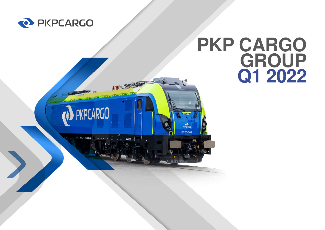

**D** PKPCARGO

丹颐

# **PKP CARGO GROUPQ1 2022**

PKPCARGO ET25-002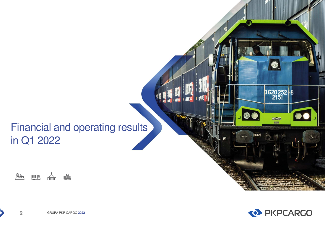## Financial and operating resultsin Q1 2022





3620252-8

newag acres.

 $\bullet$ 

100

GRUPA PKP CARGO **<sup>2022</sup>**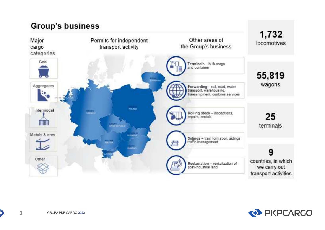### **Group's business**



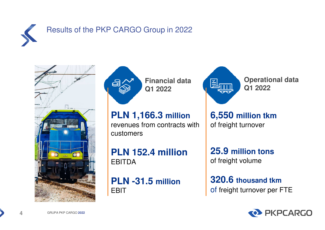

### Results of the PKP CARGO Group in 2022





**Financial data Q1 2022**

**PLN 1,166.3 million**  revenues from contracts with customers

**PLN 152.4 million** EBITDA

**PLN -31.5 million** EBIT



**Operational data** 

**6,550 million tkm** of freight turnover

**25.9 million tons** of freight volume

**320.6 thousand tkm** of freight turnover per FTE



GRUPA PKP CARGO **<sup>2022</sup>**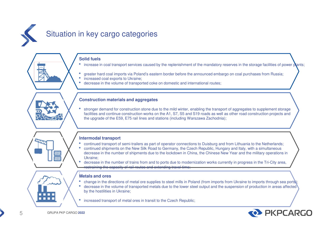

#### **Solid fuels**

- increase in coal transport services caused by the replenishment of the mandatory reserves in the storage facilities of power plants; •
- •greater hard coal imports via Poland's eastern border before the announced embargo on coal purchases from Russia;
- •increased coal exports to Ukraine;
- •decrease in the volume of transported coke on domestic and international routes;

#### **Construction materials and aggregates**

• stronger demand for construction stone due to the mild winter, enabling the transport of aggregates to supplement storage facilities and continue construction works on the A1, S7, S5 and S19 roads as well as other road construction projects and the upgrade of the E59, E75 rail lines and stations (including Warszawa Zachodnia);

#### **Intermodal transport**

- •continued transport of semi-trailers as part of operator connections to Duisburg and from Lithuania to the Netherlands;
- • continued shipments on the New Silk Road to Germany, the Czech Republic, Hungary and Italy, with a simultaneous decrease in the number of shipments due to the lockdown in China, the Chinese New Year and the military operations in Ukraine;
- decrease in the number of trains from and to ports due to modernization works currently in progress in the Tri-City area, •restraining the capacity of rail routes and extending travel time;

#### ;**Metals and ores**

- change in the directions of metal ore supplies to steel mills in Poland (from imports from Ukraine to imports through sea ports); •
- • decrease in the volume of transported metals due to the lower steel output and the suspension of production in areas affectedby the hostilities in Ukraine;
- increased transport of metal ores in transit to the Czech Republic;

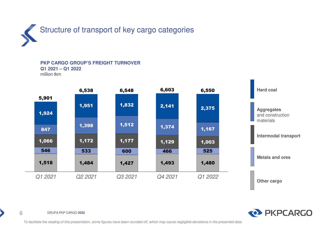

**PKP CARGO GROUP'S FREIGHT TURNOVERQ1 2021 – Q1 2022**

million tkm





GRUPA PKP CARGO **<sup>2022</sup>**

6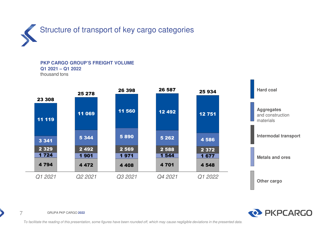

#### **PKP CARGO GROUP'S FREIGHT VOLUMEQ1 2021 – Q1 2022**

thousand tons





GRUPA PKP CARGO **<sup>2022</sup>**

7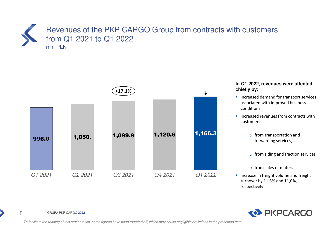### Revenues of the PKP CARGO Group from contracts with customers from Q1 2021 to Q1 2022mln PLN



#### **In Q1 2022, revenues were affected chiefly by:**

- **IF** increased demand for transport services associated with improved business conditions
- **If** increased revenues from contracts with customers:
	- o from transportation and forwarding services,
	- $\circ$  from siding and traction services
	- o from sales of materials
- **ightally** increase in freight volume and freight turnover by 11.3% and 11,0%, respectively



GRUPA PKP CARGO **<sup>2022</sup>**

8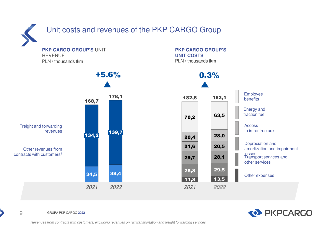

### Unit costs and revenues of the PKP CARGO Group

**PKP CARGO GROUP'S** UNIT REVENUEPLN / thousands tkm







GRUPA PKP CARGO **<sup>2022</sup>**

9

*1 Revenues from contracts with customers, excluding revenues on rail transportation and freight forwarding services*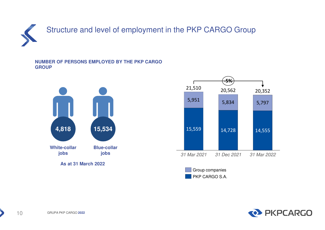

#### **NUMBER OF PERSONS EMPLOYED BY THE PKP CARGO GROUP**







GRUPA PKP CARGO **<sup>2022</sup>**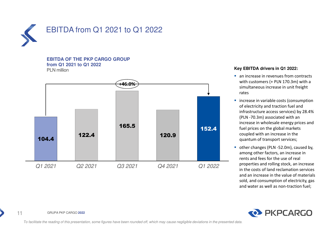

#### **EBITDA OF THE PKP CARGO GROUPfrom Q1 2021 to Q1 2022**PLN million



#### **Key EBITDA drivers in Q1 2022:**

- **an increase in revenues from contracts** with customers (+ PLN 170.3m) with a simultaneous increase in unit freight rates
- **IF** increase in variable costs (consumption of electricity and traction fuel and infrastructure access services) by 28.4% (PLN -70.3m) associated with an increase in wholesale energy prices and fuel prices on the global markets coupled with an increase in the quantum of transport services;
- other changes (PLN -52.0m), caused by, among other factors, an increase in rents and fees for the use of real properties and rolling stock, an increase in the costs of land reclamation services and an increase in the value of materials sold, and consumption of electricity, gas and water as well as non-traction fuel;



GRUPA PKP CARGO **<sup>2022</sup>**

11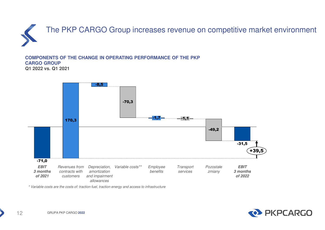

**COMPONENTS OF THE CHANGE IN OPERATING PERFORMANCE OF THE PKP CARGO GROUPQ1 2022 vs. Q1 2021**



*\* Variable costs are the costs of: traction fuel, traction energy and access to infrastructure*

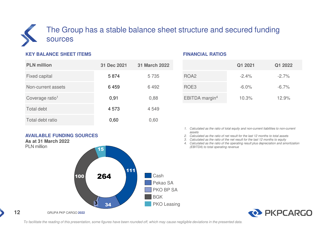### The Group has a stable balance sheet structure and secured funding sources

#### **KEY BALANCE SHEET ITEMS**

| <b>PLN</b> million          | 31 Dec 2021 | <b>31 March 2022</b> |
|-----------------------------|-------------|----------------------|
| <b>Fixed capital</b>        | 5874        | 5 7 3 5              |
| Non-current assets          | 6459        | 6492                 |
| Coverage ratio <sup>1</sup> | 0,91        | 0,88                 |
| <b>Total debt</b>           | 4573        | 4549                 |
| Total debt ratio            | 0,60        | 0,60                 |

#### **AVAILABLE FUNDING SOURCESAs at 31 March 2022**



#### **FINANCIAL RATIOS**

|                            | Q1 2021  | Q1 2022  |
|----------------------------|----------|----------|
| ROA <sub>2</sub>           | $-2.4%$  | $-2.7%$  |
| ROE3                       | $-6.0\%$ | $-6.7\%$ |
| EBITDA margin <sup>4</sup> | 10.3%    | 12.9%    |

- *1. Calculated as the ratio of total equity and non-current liabilities to non-current assets*
- *2. Calculated as the ratio of net result for the last 12 months to total assets*
- *3. Calculated as the ratio of the net result for the last 12 months to equity*
- *4. Calculated as the ratio of the operating result plus depreciation and amortization (EBITDA) to total operating revenue*

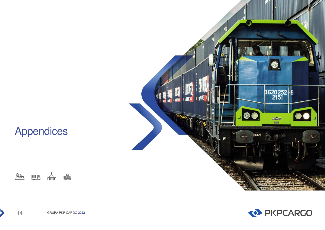## Appendices







GRUPA PKP CARGO **<sup>2022</sup>**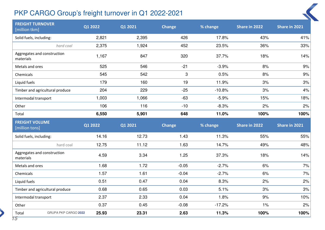### PKP CARGO Group's freight turnover in Q1 2022-2021

| <b>FREIGHT TURNOVER</b><br>[million tkm] | Q1 2022 | Q1 2021 | <b>Change</b> | % change | Share in 2022 | Share in 2021    |
|------------------------------------------|---------|---------|---------------|----------|---------------|------------------|
| Solid fuels, including:                  | 2,821   | 2,395   | 426           | 17.8%    | 43%           | 41%              |
| hard coal                                | 2,375   | 1,924   | 452           | 23.5%    | 36%           | 33%              |
| Aggregates and construction<br>materials | 1,167   | 847     | 320           | 37.7%    | 18%           | 14%              |
| Metals and ores                          | 525     | 546     | $-21$         | $-3.9%$  | 8%            | 9%               |
| Chemicals                                | 545     | 542     | 3             | 0.5%     | 8%            | 9%               |
| Liquid fuels                             | 179     | 160     | 19            | 11.9%    | 3%            | 3%               |
| Timber and agricultural produce          | 204     | 229     | $-25$         | $-10.8%$ | 3%            | 4%               |
| Intermodal transport                     | 1,003   | 1,066   | $-63$         | $-5.9%$  | 15%           | 18%              |
| Other                                    | 106     | 116     | $-10$         | $-8.3%$  | 2%            | 2%               |
| Total                                    | 6,550   | 5,901   | 648           | 11.0%    | 100%          | 100%             |
|                                          |         |         |               |          |               |                  |
| <b>FREIGHT VOLUME</b><br>[million tons]  | Q1 2022 | Q1 2021 | <b>Change</b> | % change | Share in 2022 | Share in 2021    |
| Solid fuels, including:                  | 14.16   | 12.73   | 1.43          | 11.3%    | 55%           |                  |
| hard coal                                | 12.75   | 11.12   | 1.63          | 14.7%    | 49%           |                  |
| Aggregates and construction<br>materials | 4.59    | 3.34    | 1.25          | 37.3%    | 18%           | 14%              |
| Metals and ores                          | 1.68    | 1.72    | $-0.05$       | $-2.7%$  | 6%            | 55%<br>48%<br>7% |
| Chemicals                                | 1.57    | 1.61    | $-0.04$       | $-2.7%$  | 6%            | 7%               |
| Liquid fuels                             | 0.51    | 0.47    | 0.04          | 8.3%     | 2%            | 2%               |
| Timber and agricultural produce          | 0.68    | 0.65    | 0.03          | 5.1%     | 3%            | 3%               |
| Intermodal transport                     | 2.37    | 2.33    | 0.04          | 1.8%     | 9%            | 10%              |
| Other                                    | 0.37    | 0.45    | $-0.08$       | $-17.2%$ | 1%            | 2%               |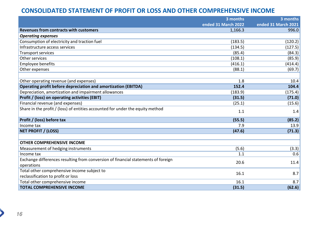### **CONSOLIDATED STATEMENT OF PROFIT OR LOSS AND OTHER COMPREHENSIVE INCOME**

|                                                                                   | 3 months            | 3 months            |
|-----------------------------------------------------------------------------------|---------------------|---------------------|
|                                                                                   | ended 31 March 2022 | ended 31 March 2021 |
| Revenues from contracts with customers                                            | 1,166.3             | 996.0               |
| <b>Operating expenses</b>                                                         |                     |                     |
| Consumption of electricity and traction fuel                                      | (183.5)             | (120.2)             |
| Infrastructure access services                                                    | (134.5)             | (127.5)             |
| <b>Transport services</b>                                                         | (85.4)              | (84.3)              |
| Other services                                                                    | (108.1)             | (85.9)              |
| Employee benefits                                                                 | (416.1)             | (414.4)             |
| Other expenses                                                                    | (88.1)              | (69.7)              |
|                                                                                   |                     |                     |
| Other operating revenue (and expenses)                                            | 1.8                 | 10.4                |
| Operating profit before depreciation and amortization (EBITDA)                    | 152.4               | 104.4               |
| Depreciation, amortization and impairment allowances                              | (183.9)             | (175.4)             |
| Profit / (loss) on operating activities (EBIT)                                    | (31.5)              | (71.0)              |
| Financial revenue (and expenses)                                                  | (25.1)              | (15.6)              |
| Share in the profit / (loss) of entities accounted for under the equity method    | 1.1                 | 1.4                 |
| Profit / (loss) before tax                                                        | (55.5)              | (85.2)              |
| Income tax                                                                        | 7.9                 | 13.9                |
| <b>NET PROFIT / (LOSS)</b>                                                        | (47.6)              | (71.3)              |
|                                                                                   |                     |                     |
| <b>OTHER COMPREHENSIVE INCOME</b>                                                 |                     |                     |
| Measurement of hedging instruments                                                | (5.6)               | (3.3)               |
| Income tax                                                                        | 1.1                 | 0.6                 |
| Exchange differences resulting from conversion of financial statements of foreign |                     |                     |
| operations                                                                        | 20.6                | 11.4                |
| Total other comprehensive income subject to                                       | 16.1                |                     |
| reclassification to profit or loss                                                |                     | 8.7                 |
| Total other comprehensive income                                                  | 16.1                | 8.7                 |
| <b>TOTAL COMPREHENSIVE INCOME</b>                                                 | (31.5)              | (62.6)              |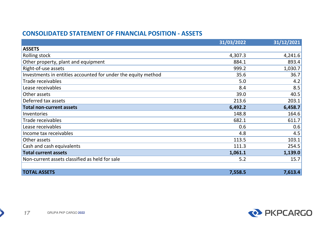### **CONSOLIDATED STATEMENT OF FINANCIAL POSITION - ASSETS**

|                                                               | 31/03/2022 | 31/12/2021 |
|---------------------------------------------------------------|------------|------------|
| <b>ASSETS</b>                                                 |            |            |
| Rolling stock                                                 | 4,307.3    | 4,241.6    |
| Other property, plant and equipment                           | 884.1      | 893.4      |
| Right-of-use assets                                           | 999.2      | 1,030.7    |
| Investments in entities accounted for under the equity method | 35.6       | 36.7       |
| <b>Trade receivables</b>                                      | 5.0        | 4.2        |
| Lease receivables                                             | 8.4        | 8.5        |
| Other assets                                                  | 39.0       | 40.5       |
| Deferred tax assets                                           | 213.6      | 203.1      |
| <b>Total non-current assets</b>                               | 6,492.2    | 6,458.7    |
| Inventories                                                   | 148.8      | 164.6      |
| <b>Trade receivables</b>                                      | 682.1      | 611.7      |
| Lease receivables                                             | 0.6        | 0.6        |
| Income tax receivables                                        | 4.8        | 4.5        |
| Other assets                                                  | 113.5      | 103.1      |
| Cash and cash equivalents                                     | 111.3      | 254.5      |
| <b>Total current assets</b>                                   | 1,061.1    | 1,139.0    |
| Non-current assets classified as held for sale                | 5.2        | 15.7       |
|                                                               |            |            |
| <b>TOTAL ASSETS</b>                                           | 7,558.5    | 7,613.4    |

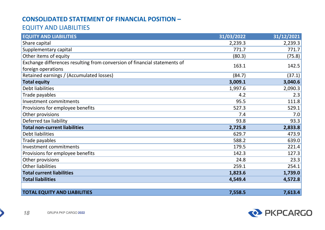### **CONSOLIDATED STATEMENT OF FINANCIAL POSITION –**

### EQUITY AND LIABILITIES

| <b>EQUITY AND LIABILITIES</b>                                             | 31/03/2022 | 31/12/2021 |
|---------------------------------------------------------------------------|------------|------------|
| Share capital                                                             | 2,239.3    | 2,239.3    |
| Supplementary capital                                                     | 771.7      | 771.7      |
| Other items of equity                                                     | (80.3)     | (75.8)     |
| Exchange differences resulting from conversion of financial statements of | 163.1      | 142.5      |
| foreign operations                                                        |            |            |
| Retained earnings / (Accumulated losses)                                  | (84.7)     | (37.1)     |
| <b>Total equity</b>                                                       | 3,009.1    | 3,040.6    |
| Debt liabilities                                                          | 1,997.6    | 2,090.3    |
| Trade payables                                                            | 4.2        | 2.3        |
| Investment commitments                                                    | 95.5       | 111.8      |
| Provisions for employee benefits                                          | 527.3      | 529.1      |
| Other provisions                                                          | 7.4        | 7.0        |
| Deferred tax liability                                                    | 93.8       | 93.3       |
| <b>Total non-current liabilities</b>                                      | 2,725.8    | 2,833.8    |
| Debt liabilities                                                          | 629.7      | 473.9      |
| Trade payables                                                            | 588.2      | 639.0      |
| Investment commitments                                                    | 179.5      | 221.4      |
| Provisions for employee benefits                                          | 142.3      | 127.3      |
| Other provisions                                                          | 24.8       | 23.3       |
| <b>Other liabilities</b>                                                  | 259.1      | 254.1      |
| <b>Total current liabilities</b>                                          | 1,823.6    | 1,739.0    |
| <b>Total liabilities</b>                                                  | 4,549.4    | 4,572.8    |
|                                                                           |            |            |
| <b>TOTAL EQUITY AND LIABILITIES</b>                                       | 7,558.5    | 7,613.4    |